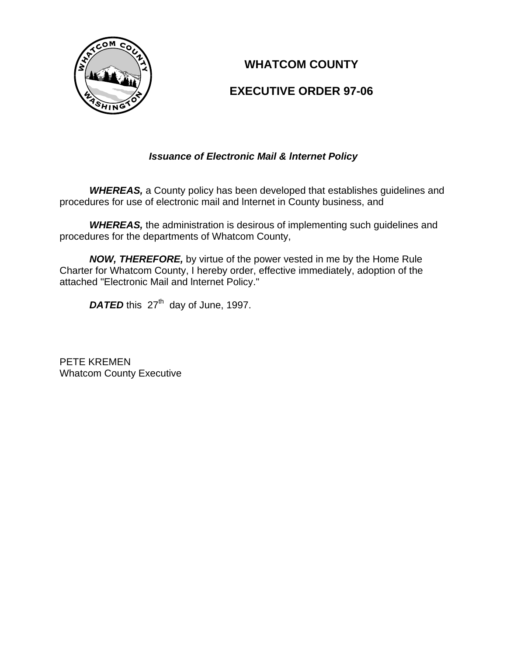

# **WHATCOM COUNTY**

## **EXECUTIVE ORDER 97-06**

### *Issuance of Electronic Mail & lnternet Policy*

*WHEREAS,* a County policy has been developed that establishes guidelines and procedures for use of electronic mail and lnternet in County business, and

**WHEREAS, the administration is desirous of implementing such guidelines and** procedures for the departments of Whatcom County,

*NOW, THEREFORE,* by virtue of the power vested in me by the Home Rule Charter for Whatcom County, I hereby order, effective immediately, adoption of the attached "Electronic Mail and lnternet Policy."

DATED this 27<sup>th</sup> day of June, 1997.

PETE KREMEN Whatcom County Executive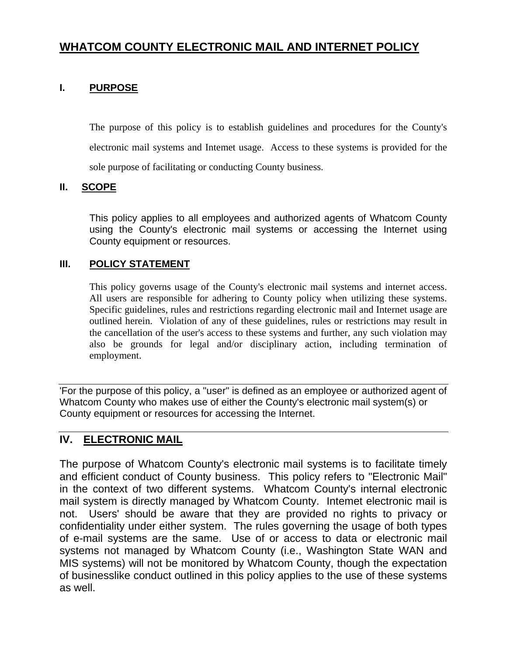# **WHATCOM COUNTY ELECTRONIC MAIL AND INTERNET POLICY**

### **I. PURPOSE**

The purpose of this policy is to establish guidelines and procedures for the County's electronic mail systems and Intemet usage. Access to these systems is provided for the sole purpose of facilitating or conducting County business.

#### **II. SCOPE**

This policy applies to all employees and authorized agents of Whatcom County using the County's electronic mail systems or accessing the Internet using County equipment or resources.

#### **III. POLICY STATEMENT**

This policy governs usage of the County's electronic mail systems and internet access. All users are responsible for adhering to County policy when utilizing these systems. Specific guidelines, rules and restrictions regarding electronic mail and Internet usage are outlined herein. Violation of any of these guidelines, rules or restrictions may result in the cancellation of the user's access to these systems and further, any such violation may also be grounds for legal and/or disciplinary action, including termination of employment.

'For the purpose of this policy, a "user" is defined as an employee or authorized agent of Whatcom County who makes use of either the County's electronic mail system(s) or County equipment or resources for accessing the Internet.

### **IV. ELECTRONIC MAIL**

The purpose of Whatcom County's electronic mail systems is to facilitate timely and efficient conduct of County business. This policy refers to "Electronic Mail" in the context of two different systems. Whatcom County's internal electronic mail system is directly managed by Whatcom County. Intemet electronic mail is not. Users' should be aware that they are provided no rights to privacy or confidentiality under either system. The rules governing the usage of both types of e-mail systems are the same. Use of or access to data or electronic mail systems not managed by Whatcom County (i.e., Washington State WAN and MIS systems) will not be monitored by Whatcom County, though the expectation of businesslike conduct outlined in this policy applies to the use of these systems as well.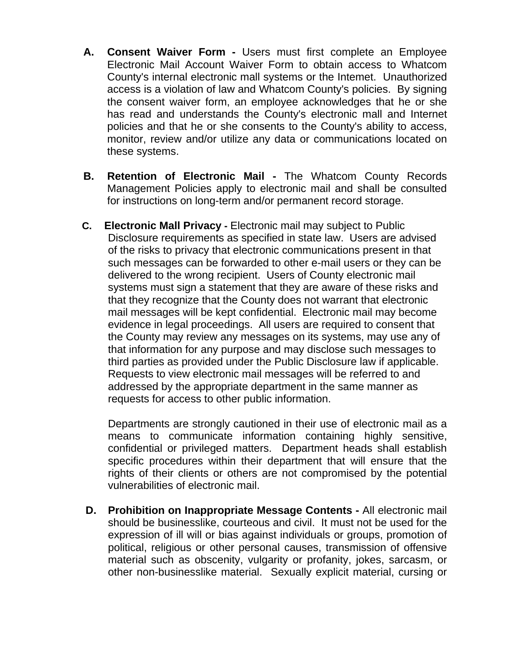- **A. Consent Waiver Form** Users must first complete an Employee Electronic Mail Account Waiver Form to obtain access to Whatcom County's internal electronic mall systems or the Intemet. Unauthorized access is a violation of law and Whatcom County's policies. By signing the consent waiver form, an employee acknowledges that he or she has read and understands the County's electronic mall and Internet policies and that he or she consents to the County's ability to access, monitor, review and/or utilize any data or communications located on these systems.
- **B. Retention of Electronic Mail** The Whatcom County Records Management Policies apply to electronic mail and shall be consulted for instructions on long-term and/or permanent record storage.
- **C. Electronic Mall Privacy** Electronic mail may subject to Public Disclosure requirements as specified in state law. Users are advised of the risks to privacy that electronic communications present in that such messages can be forwarded to other e-mail users or they can be delivered to the wrong recipient. Users of County electronic mail systems must sign a statement that they are aware of these risks and that they recognize that the County does not warrant that electronic mail messages will be kept confidential. Electronic mail may become evidence in legal proceedings. All users are required to consent that the County may review any messages on its systems, may use any of that information for any purpose and may disclose such messages to third parties as provided under the Public Disclosure law if applicable. Requests to view electronic mail messages will be referred to and addressed by the appropriate department in the same manner as requests for access to other public information.

Departments are strongly cautioned in their use of electronic mail as a means to communicate information containing highly sensitive, confidential or privileged matters. Department heads shall establish specific procedures within their department that will ensure that the rights of their clients or others are not compromised by the potential vulnerabilities of electronic mail.

**D. Prohibition on Inappropriate Message Contents -** All electronic mail should be businesslike, courteous and civil. It must not be used for the expression of ill will or bias against individuals or groups, promotion of political, religious or other personal causes, transmission of offensive material such as obscenity, vulgarity or profanity, jokes, sarcasm, or other non-businesslike material. Sexually explicit material, cursing or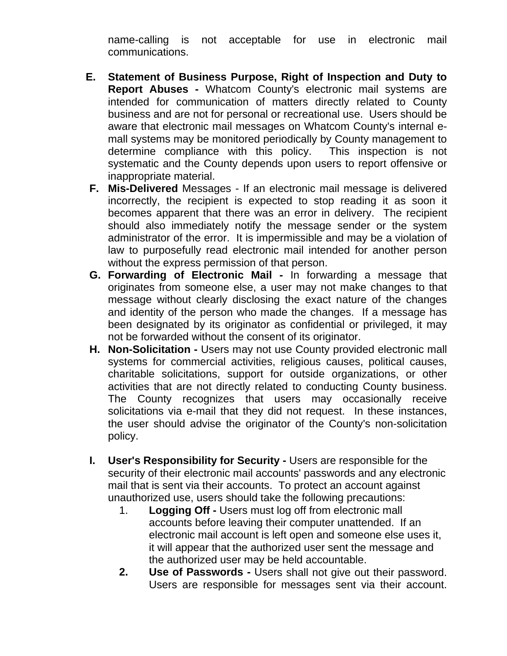name-calling is not acceptable for use in electronic mail communications.

- **E. Statement of Business Purpose, Right of Inspection and Duty to Report Abuses -** Whatcom County's electronic mail systems are intended for communication of matters directly related to County business and are not for personal or recreational use. Users should be aware that electronic mail messages on Whatcom County's internal emall systems may be monitored periodically by County management to determine compliance with this policy. This inspection is not systematic and the County depends upon users to report offensive or inappropriate material.
- **F. Mis-Delivered** Messages If an electronic mail message is delivered incorrectly, the recipient is expected to stop reading it as soon it becomes apparent that there was an error in delivery. The recipient should also immediately notify the message sender or the system administrator of the error. It is impermissible and may be a violation of law to purposefully read electronic mail intended for another person without the express permission of that person.
- **G. Forwarding of Electronic Mail** In forwarding a message that originates from someone else, a user may not make changes to that message without clearly disclosing the exact nature of the changes and identity of the person who made the changes. If a message has been designated by its originator as confidential or privileged, it may not be forwarded without the consent of its originator.
- **H.** Non-Solicitation Users may not use County provided electronic mall systems for commercial activities, religious causes, political causes, charitable solicitations, support for outside organizations, or other activities that are not directly related to conducting County business. The County recognizes that users may occasionally receive solicitations via e-mail that they did not request. In these instances, the user should advise the originator of the County's non-solicitation policy.
- **I. User's Responsibility for Security** Users are responsible for the security of their electronic mail accounts' passwords and any electronic mail that is sent via their accounts. To protect an account against unauthorized use, users should take the following precautions:
	- 1. **Logging Off** Users must log off from electronic mall accounts before leaving their computer unattended. If an electronic mail account is left open and someone else uses it, it will appear that the authorized user sent the message and the authorized user may be held accountable.
	- **2. Use of Passwords** Users shall not give out their password. Users are responsible for messages sent via their account.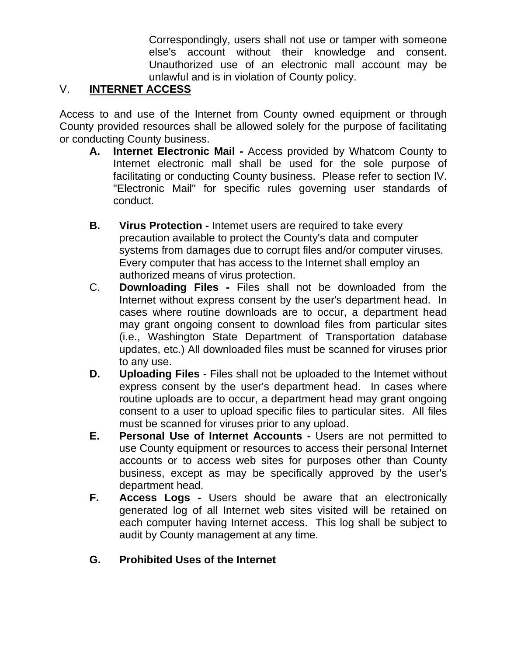Correspondingly, users shall not use or tamper with someone else's account without their knowledge and consent. Unauthorized use of an electronic mall account may be unlawful and is in violation of County policy.

## V. **INTERNET ACCESS**

Access to and use of the Internet from County owned equipment or through County provided resources shall be allowed solely for the purpose of facilitating or conducting County business.

- **A. Internet Electronic Mail** Access provided by Whatcom County to Internet electronic mall shall be used for the sole purpose of facilitating or conducting County business. Please refer to section IV. "Electronic Mail" for specific rules governing user standards of conduct.
- **B. Virus Protection** Intemet users are required to take every precaution available to protect the County's data and computer systems from damages due to corrupt files and/or computer viruses. Every computer that has access to the Internet shall employ an authorized means of virus protection.
- C. **Downloading Files** Files shall not be downloaded from the Internet without express consent by the user's department head. In cases where routine downloads are to occur, a department head may grant ongoing consent to download files from particular sites (i.e., Washington State Department of Transportation database updates, etc.) All downloaded files must be scanned for viruses prior to any use.
- **D. Uploading Files Files shall not be uploaded to the Intemet without** express consent by the user's department head. In cases where routine uploads are to occur, a department head may grant ongoing consent to a user to upload specific files to particular sites. All files must be scanned for viruses prior to any upload.
- **E. Personal Use of Internet Accounts** Users are not permitted to use County equipment or resources to access their personal Internet accounts or to access web sites for purposes other than County business, except as may be specifically approved by the user's department head.
- **F. Access Logs** Users should be aware that an electronically generated log of all Internet web sites visited will be retained on each computer having Internet access. This log shall be subject to audit by County management at any time.
- **G. Prohibited Uses of the Internet**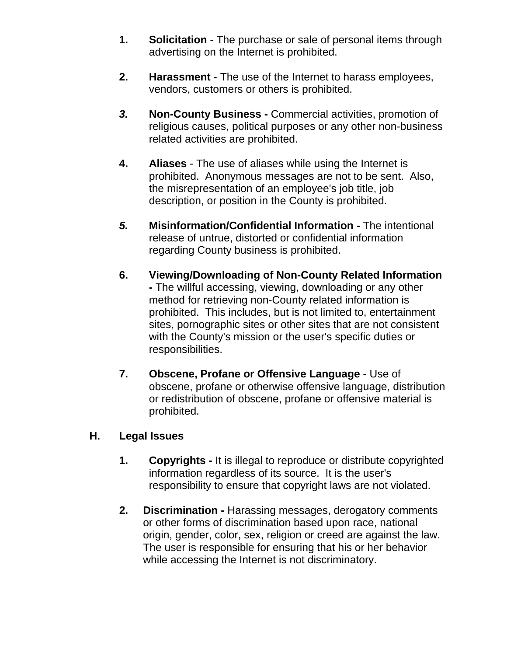- **1. Solicitation** The purchase or sale of personal items through advertising on the Internet is prohibited.
- **2. Harassment** The use of the Internet to harass employees, vendors, customers or others is prohibited.
- *3.* **Non-County Business** Commercial activities, promotion of religious causes, political purposes or any other non-business related activities are prohibited.
- **4. Aliases** The use of aliases while using the Internet is prohibited. Anonymous messages are not to be sent. Also, the misrepresentation of an employee's job title, job description, or position in the County is prohibited.
- *5.* **Misinformation/Confidential Information** The intentional release of untrue, distorted or confidential information regarding County business is prohibited.
- **6. Viewing/Downloading of Non-County Related Information -** The willful accessing, viewing, downloading or any other method for retrieving non-County related information is prohibited. This includes, but is not limited to, entertainment sites, pornographic sites or other sites that are not consistent with the County's mission or the user's specific duties or responsibilities.
- **7. Obscene, Profane or Offensive Language** Use of obscene, profane or otherwise offensive language, distribution or redistribution of obscene, profane or offensive material is prohibited.

### **H. Legal Issues**

- **1. Copyrights** It is illegal to reproduce or distribute copyrighted information regardless of its source. It is the user's responsibility to ensure that copyright laws are not violated.
- **2. Discrimination** Harassing messages, derogatory comments or other forms of discrimination based upon race, national origin, gender, color, sex, religion or creed are against the law. The user is responsible for ensuring that his or her behavior while accessing the Internet is not discriminatory.